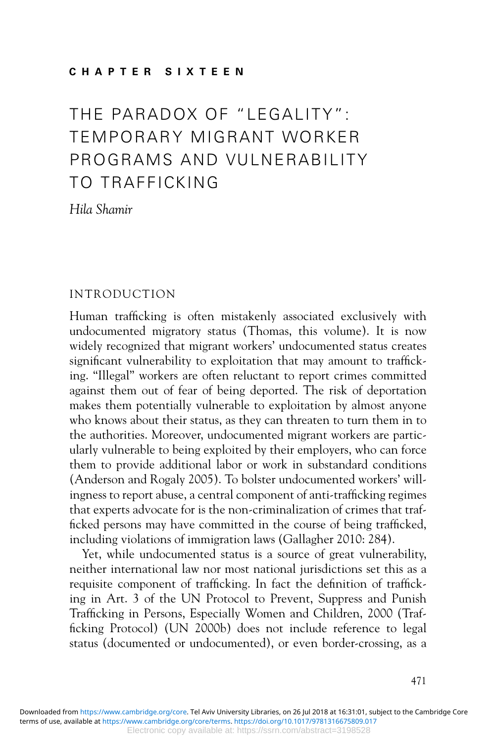# THE PARADOX OF "LEGALITY": TEMPORARY MIGRANT WORKER PROGRAMS AND VUI NERABILITY TO TRAFFICKING

*Hila Shamir*

#### INTRODUCTION

Human trafficking is often mistakenly associated exclusively with undocumented migratory status (Thomas, this volume). It is now widely recognized that migrant workers' undocumented status creates significant vulnerability to exploitation that may amount to trafficking. "Illegal" workers are often reluctant to report crimes committed against them out of fear of being deported. The risk of deportation makes them potentially vulnerable to exploitation by almost anyone who knows about their status, as they can threaten to turn them in to the authorities. Moreover, undocumented migrant workers are particularly vulnerable to being exploited by their employers, who can force them to provide additional labor or work in substandard conditions (Anderson and Rogaly 2005). To bolster undocumented workers' willingness to report abuse, a central component of anti-trafficking regimes that experts advocate for is the non-criminalization of crimes that trafficked persons may have committed in the course of being trafficked, including violations of immigration laws (Gallagher 2010: 284).

Yet, while undocumented status is a source of great vulnerability, neither international law nor most national jurisdictions set this as a requisite component of trafficking. In fact the definition of trafficking in Art. 3 of the UN Protocol to Prevent, Suppress and Punish Trafficking in Persons, Especially Women and Children, 2000 (Trafficking Protocol) (UN 2000b) does not include reference to legal status (documented or undocumented), or even border-crossing, as a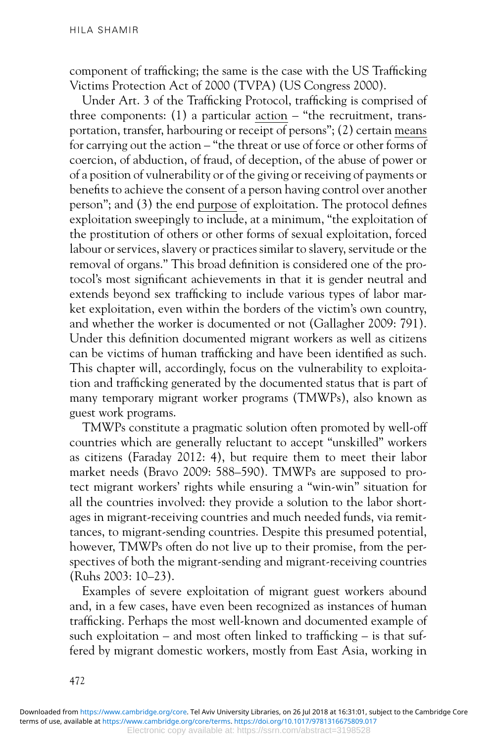component of trafficking; the same is the case with the US Trafficking Victims Protection Act of 2000 (TVPA) (US Congress 2000).

Under Art. 3 of the Trafficking Protocol, trafficking is comprised of three components:  $(1)$  a particular action – "the recruitment, transportation, transfer, harbouring or receipt of persons"; (2) certain means for carrying out the action – "the threat or use of force or other forms of coercion, of abduction, of fraud, of deception, of the abuse of power or of a position of vulnerability or of the giving or receiving of payments or benefits to achieve the consent of a person having control over another person"; and (3) the end purpose of exploitation. The protocol defines exploitation sweepingly to include, at a minimum, "the exploitation of the prostitution of others or other forms of sexual exploitation, forced labour or services, slavery or practices similar to slavery, servitude or the removal of organs." This broad definition is considered one of the protocol's most significant achievements in that it is gender neutral and extends beyond sex trafficking to include various types of labor market exploitation, even within the borders of the victim's own country, and whether the worker is documented or not (Gallagher 2009: 791). Under this definition documented migrant workers as well as citizens can be victims of human trafficking and have been identified as such. This chapter will, accordingly, focus on the vulnerability to exploitation and trafficking generated by the documented status that is part of many temporary migrant worker programs (TMWPs), also known as guest work programs.

TMWPs constitute a pragmatic solution often promoted by well-off countries which are generally reluctant to accept "unskilled" workers as citizens (Faraday 2012: 4), but require them to meet their labor market needs (Bravo 2009: 588–590). TMWPs are supposed to protect migrant workers' rights while ensuring a "win-win" situation for all the countries involved: they provide a solution to the labor shortages in migrant-receiving countries and much needed funds, via remittances, to migrant-sending countries. Despite this presumed potential, however, TMWPs often do not live up to their promise, from the perspectives of both the migrant-sending and migrant-receiving countries (Ruhs 2003: 10–23).

Examples of severe exploitation of migrant guest workers abound and, in a few cases, have even been recognized as instances of human trafficking. Perhaps the most well-known and documented example of such exploitation – and most often linked to trafficking – is that suffered by migrant domestic workers, mostly from East Asia, working in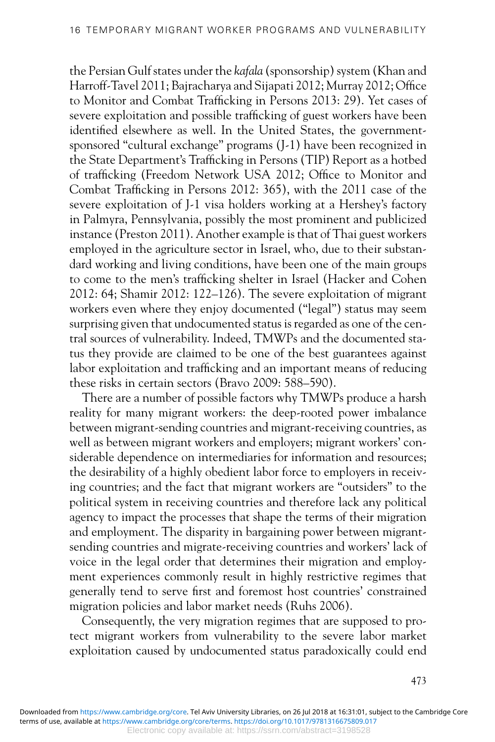the Persian Gulf states under the *kafala* (sponsorship) system (Khan and Harroff-Tavel 2011; Bajracharya and Sijapati 2012; Murray 2012; Office to Monitor and Combat Trafficking in Persons 2013: 29). Yet cases of severe exploitation and possible trafficking of guest workers have been identified elsewhere as well. In the United States, the governmentsponsored "cultural exchange" programs (J-1) have been recognized in the State Department's Trafficking in Persons (TIP) Report as a hotbed of trafficking (Freedom Network USA 2012; Office to Monitor and Combat Trafficking in Persons 2012: 365), with the 2011 case of the severe exploitation of J-1 visa holders working at a Hershey's factory in Palmyra, Pennsylvania, possibly the most prominent and publicized instance (Preston 2011). Another example is that of Thai guest workers employed in the agriculture sector in Israel, who, due to their substandard working and living conditions, have been one of the main groups to come to the men's trafficking shelter in Israel (Hacker and Cohen 2012: 64; Shamir 2012: 122–126). The severe exploitation of migrant workers even where they enjoy documented ("legal") status may seem surprising given that undocumented status is regarded as one of the central sources of vulnerability. Indeed, TMWPs and the documented status they provide are claimed to be one of the best guarantees against labor exploitation and trafficking and an important means of reducing these risks in certain sectors (Bravo 2009: 588–590).

There are a number of possible factors why TMWPs produce a harsh reality for many migrant workers: the deep-rooted power imbalance between migrant-sending countries and migrant-receiving countries, as well as between migrant workers and employers; migrant workers' considerable dependence on intermediaries for information and resources; the desirability of a highly obedient labor force to employers in receiving countries; and the fact that migrant workers are "outsiders" to the political system in receiving countries and therefore lack any political agency to impact the processes that shape the terms of their migration and employment. The disparity in bargaining power between migrantsending countries and migrate-receiving countries and workers' lack of voice in the legal order that determines their migration and employment experiences commonly result in highly restrictive regimes that generally tend to serve first and foremost host countries' constrained migration policies and labor market needs (Ruhs 2006).

Consequently, the very migration regimes that are supposed to protect migrant workers from vulnerability to the severe labor market exploitation caused by undocumented status paradoxically could end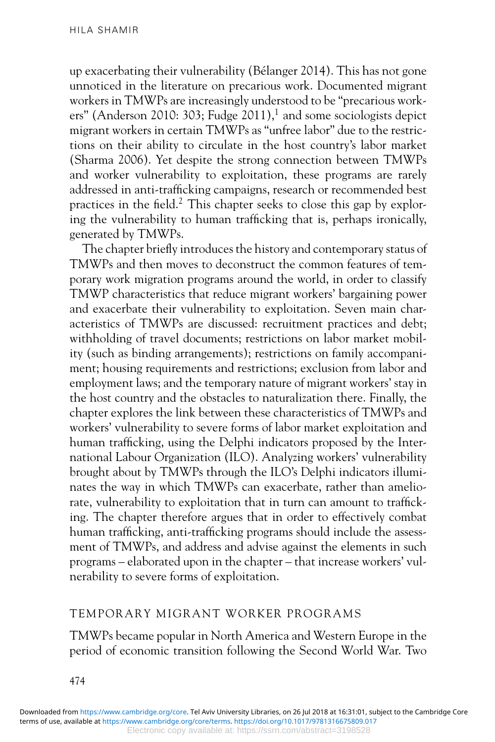up exacerbating their vulnerability (Belanger 2014). This has not gone ´ unnoticed in the literature on precarious work. Documented migrant workers in TMWPs are increasingly understood to be "precarious workers" (Anderson 2010: 303; Fudge 2011),<sup>1</sup> and some sociologists depict migrant workers in certain TMWPs as "unfree labor" due to the restrictions on their ability to circulate in the host country's labor market (Sharma 2006). Yet despite the strong connection between TMWPs and worker vulnerability to exploitation, these programs are rarely addressed in anti-trafficking campaigns, research or recommended best practices in the field.<sup>2</sup> This chapter seeks to close this gap by exploring the vulnerability to human trafficking that is, perhaps ironically, generated by TMWPs.

The chapter briefly introduces the history and contemporary status of TMWPs and then moves to deconstruct the common features of temporary work migration programs around the world, in order to classify TMWP characteristics that reduce migrant workers' bargaining power and exacerbate their vulnerability to exploitation. Seven main characteristics of TMWPs are discussed: recruitment practices and debt; withholding of travel documents; restrictions on labor market mobility (such as binding arrangements); restrictions on family accompaniment; housing requirements and restrictions; exclusion from labor and employment laws; and the temporary nature of migrant workers' stay in the host country and the obstacles to naturalization there. Finally, the chapter explores the link between these characteristics of TMWPs and workers' vulnerability to severe forms of labor market exploitation and human trafficking, using the Delphi indicators proposed by the International Labour Organization (ILO). Analyzing workers' vulnerability brought about by TMWPs through the ILO's Delphi indicators illuminates the way in which TMWPs can exacerbate, rather than ameliorate, vulnerability to exploitation that in turn can amount to trafficking. The chapter therefore argues that in order to effectively combat human trafficking, anti-trafficking programs should include the assessment of TMWPs, and address and advise against the elements in such programs – elaborated upon in the chapter – that increase workers' vulnerability to severe forms of exploitation.

#### TEMPORARY MIGRANT WORKER PROGRAMS

TMWPs became popular in North America and Western Europe in the period of economic transition following the Second World War. Two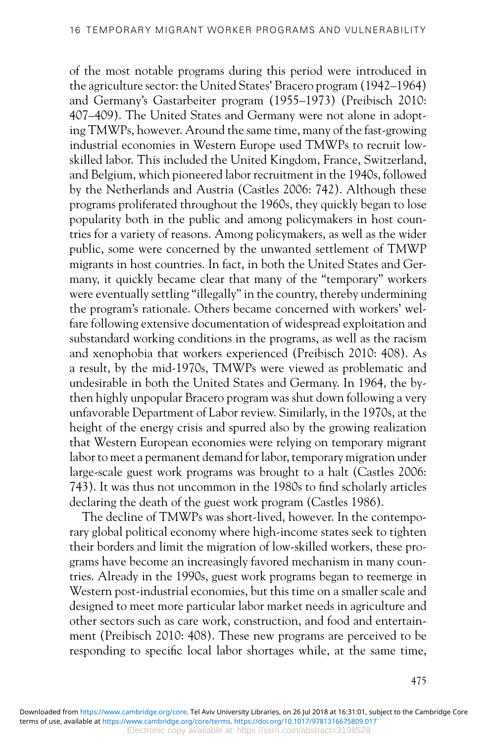of the most notable programs during this period were introduced in the agriculture sector: the United States' Bracero program (1942–1964) and Germany's Gastarbeiter program (1955–1973) (Preibisch 2010: 407–409). The United States and Germany were not alone in adopting TMWPs, however. Around the same time, many of the fast-growing industrial economies in Western Europe used TMWPs to recruit lowskilled labor. This included the United Kingdom, France, Switzerland, and Belgium, which pioneered labor recruitment in the 1940s, followed by the Netherlands and Austria (Castles 2006: 742). Although these programs proliferated throughout the 1960s, they quickly began to lose popularity both in the public and among policymakers in host countries for a variety of reasons. Among policymakers, as well as the wider public, some were concerned by the unwanted settlement of TMWP migrants in host countries. In fact, in both the United States and Germany, it quickly became clear that many of the "temporary" workers were eventually settling "illegally" in the country, thereby undermining the program's rationale. Others became concerned with workers' welfare following extensive documentation of widespread exploitation and substandard working conditions in the programs, as well as the racism and xenophobia that workers experienced (Preibisch 2010: 408). As a result, by the mid-1970s, TMWPs were viewed as problematic and undesirable in both the United States and Germany. In 1964, the bythen highly unpopular Bracero program was shut down following a very unfavorable Department of Labor review. Similarly, in the 1970s, at the height of the energy crisis and spurred also by the growing realization that Western European economies were relying on temporary migrant labor to meet a permanent demand for labor, temporary migration under large-scale guest work programs was brought to a halt (Castles 2006: 743). It was thus not uncommon in the 1980s to find scholarly articles declaring the death of the guest work program (Castles 1986).

The decline of TMWPs was short-lived, however. In the contemporary global political economy where high-income states seek to tighten their borders and limit the migration of low-skilled workers, these programs have become an increasingly favored mechanism in many countries. Already in the 1990s, guest work programs began to reemerge in Western post-industrial economies, but this time on a smaller scale and designed to meet more particular labor market needs in agriculture and other sectors such as care work, construction, and food and entertainment (Preibisch 2010: 408). These new programs are perceived to be responding to specific local labor shortages while, at the same time,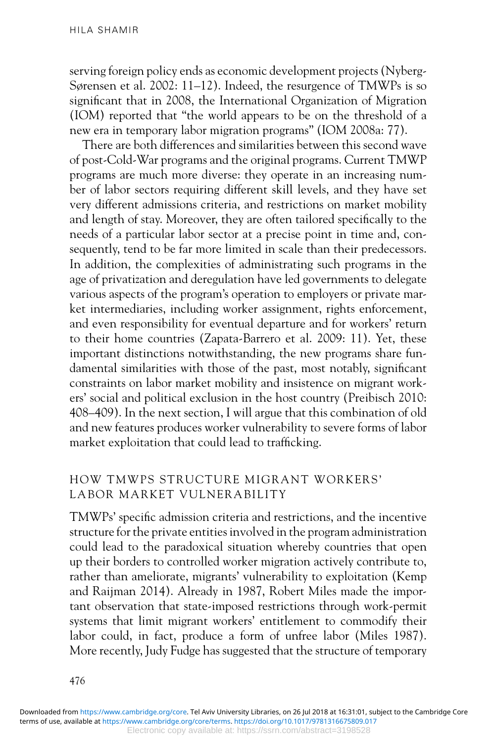serving foreign policy ends as economic development projects (Nyberg-Sørensen et al. 2002: 11–12). Indeed, the resurgence of TMWPs is so significant that in 2008, the International Organization of Migration (IOM) reported that "the world appears to be on the threshold of a new era in temporary labor migration programs" (IOM 2008a: 77).

There are both differences and similarities between this second wave of post-Cold-War programs and the original programs. Current TMWP programs are much more diverse: they operate in an increasing number of labor sectors requiring different skill levels, and they have set very different admissions criteria, and restrictions on market mobility and length of stay. Moreover, they are often tailored specifically to the needs of a particular labor sector at a precise point in time and, consequently, tend to be far more limited in scale than their predecessors. In addition, the complexities of administrating such programs in the age of privatization and deregulation have led governments to delegate various aspects of the program's operation to employers or private market intermediaries, including worker assignment, rights enforcement, and even responsibility for eventual departure and for workers' return to their home countries (Zapata-Barrero et al. 2009: 11). Yet, these important distinctions notwithstanding, the new programs share fundamental similarities with those of the past, most notably, significant constraints on labor market mobility and insistence on migrant workers' social and political exclusion in the host country (Preibisch 2010: 408–409). In the next section, I will argue that this combination of old and new features produces worker vulnerability to severe forms of labor market exploitation that could lead to trafficking.

# HOW TMWPS STRUCTURE MIGRANT WORKERS' LABOR MARKET VULNERABILITY

TMWPs' specific admission criteria and restrictions, and the incentive structure for the private entities involved in the program administration could lead to the paradoxical situation whereby countries that open up their borders to controlled worker migration actively contribute to, rather than ameliorate, migrants' vulnerability to exploitation (Kemp and Raijman 2014). Already in 1987, Robert Miles made the important observation that state-imposed restrictions through work-permit systems that limit migrant workers' entitlement to commodify their labor could, in fact, produce a form of unfree labor (Miles 1987). More recently, Judy Fudge has suggested that the structure of temporary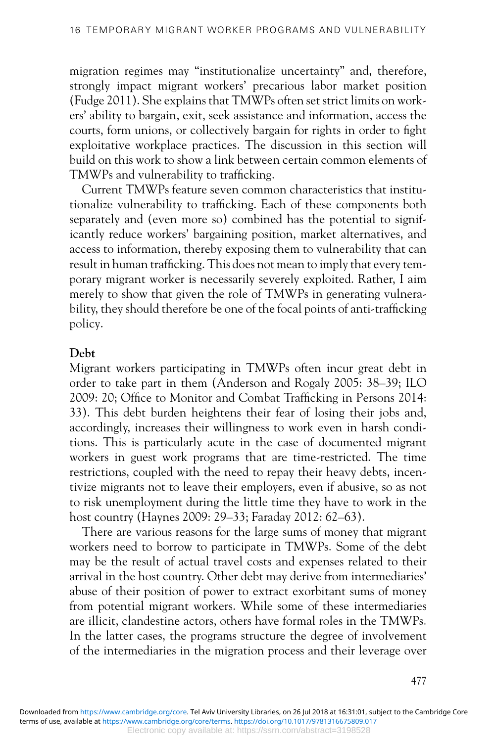migration regimes may "institutionalize uncertainty" and, therefore, strongly impact migrant workers' precarious labor market position (Fudge 2011). She explains that TMWPs often set strict limits on workers' ability to bargain, exit, seek assistance and information, access the courts, form unions, or collectively bargain for rights in order to fight exploitative workplace practices. The discussion in this section will build on this work to show a link between certain common elements of TMWPs and vulnerability to trafficking.

Current TMWPs feature seven common characteristics that institutionalize vulnerability to trafficking. Each of these components both separately and (even more so) combined has the potential to significantly reduce workers' bargaining position, market alternatives, and access to information, thereby exposing them to vulnerability that can result in human trafficking. This does not mean to imply that every temporary migrant worker is necessarily severely exploited. Rather, I aim merely to show that given the role of TMWPs in generating vulnerability, they should therefore be one of the focal points of anti-trafficking policy.

## **Debt**

Migrant workers participating in TMWPs often incur great debt in order to take part in them (Anderson and Rogaly 2005: 38–39; ILO 2009: 20; Office to Monitor and Combat Trafficking in Persons 2014: 33). This debt burden heightens their fear of losing their jobs and, accordingly, increases their willingness to work even in harsh conditions. This is particularly acute in the case of documented migrant workers in guest work programs that are time-restricted. The time restrictions, coupled with the need to repay their heavy debts, incentivize migrants not to leave their employers, even if abusive, so as not to risk unemployment during the little time they have to work in the host country (Haynes 2009: 29–33; Faraday 2012: 62–63).

There are various reasons for the large sums of money that migrant workers need to borrow to participate in TMWPs. Some of the debt may be the result of actual travel costs and expenses related to their arrival in the host country. Other debt may derive from intermediaries' abuse of their position of power to extract exorbitant sums of money from potential migrant workers. While some of these intermediaries are illicit, clandestine actors, others have formal roles in the TMWPs. In the latter cases, the programs structure the degree of involvement of the intermediaries in the migration process and their leverage over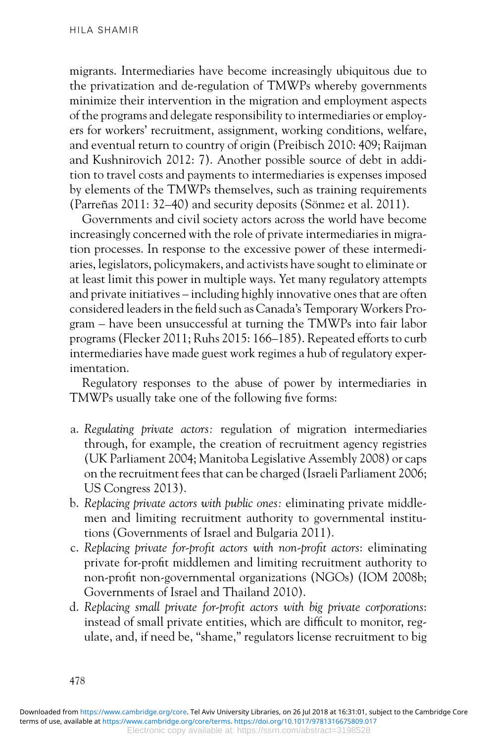migrants. Intermediaries have become increasingly ubiquitous due to the privatization and de-regulation of TMWPs whereby governments minimize their intervention in the migration and employment aspects of the programs and delegate responsibility to intermediaries or employers for workers' recruitment, assignment, working conditions, welfare, and eventual return to country of origin (Preibisch 2010: 409; Raijman and Kushnirovich 2012: 7). Another possible source of debt in addition to travel costs and payments to intermediaries is expenses imposed by elements of the TMWPs themselves, such as training requirements  $($  Parrenas 2011: 32–40 $)$  and security deposits  $(S\ddot{\circ})$  onmez et al. 2011 $)$ .

Governments and civil society actors across the world have become increasingly concerned with the role of private intermediaries in migration processes. In response to the excessive power of these intermediaries, legislators, policymakers, and activists have sought to eliminate or at least limit this power in multiple ways. Yet many regulatory attempts and private initiatives – including highly innovative ones that are often considered leaders in the field such as Canada's Temporary Workers Program – have been unsuccessful at turning the TMWPs into fair labor programs (Flecker 2011; Ruhs 2015: 166–185). Repeated efforts to curb intermediaries have made guest work regimes a hub of regulatory experimentation.

Regulatory responses to the abuse of power by intermediaries in TMWPs usually take one of the following five forms:

- a. *Regulating private actors:* regulation of migration intermediaries through, for example, the creation of recruitment agency registries (UK Parliament 2004; Manitoba Legislative Assembly 2008) or caps on the recruitment fees that can be charged (Israeli Parliament 2006; US Congress 2013).
- b. *Replacing private actors with public ones:* eliminating private middlemen and limiting recruitment authority to governmental institutions (Governments of Israel and Bulgaria 2011).
- c. *Replacing private for-profit actors with non-profit actors*: eliminating private for-profit middlemen and limiting recruitment authority to non-profit non-governmental organizations (NGOs) (IOM 2008b; Governments of Israel and Thailand 2010).
- d. *Replacing small private for-profit actors with big private corporations*: instead of small private entities, which are difficult to monitor, regulate, and, if need be, "shame," regulators license recruitment to big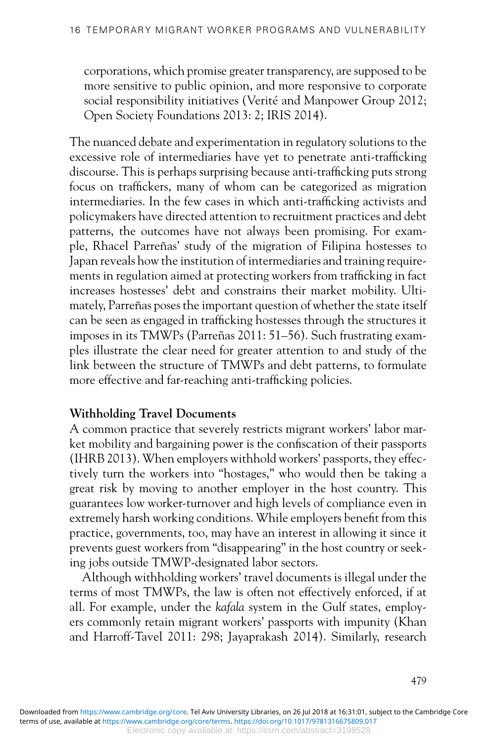corporations, which promise greater transparency, are supposed to be more sensitive to public opinion, and more responsive to corporate social responsibility initiatives (Verité and Manpower Group 2012; Open Society Foundations 2013: 2; IRIS 2014).

The nuanced debate and experimentation in regulatory solutions to the excessive role of intermediaries have yet to penetrate anti-trafficking discourse. This is perhaps surprising because anti-trafficking puts strong focus on traffickers, many of whom can be categorized as migration intermediaries. In the few cases in which anti-trafficking activists and policymakers have directed attention to recruitment practices and debt patterns, the outcomes have not always been promising. For example, Rhacel Parreñas' study of the migration of Filipina hostesses to Japan reveals how the institution of intermediaries and training requirements in regulation aimed at protecting workers from trafficking in fact increases hostesses' debt and constrains their market mobility. Ultimately, Parreñas poses the important question of whether the state itself can be seen as engaged in trafficking hostesses through the structures it imposes in its TMWPs (Parreñas 2011: 51–56). Such frustrating examples illustrate the clear need for greater attention to and study of the link between the structure of TMWPs and debt patterns, to formulate more effective and far-reaching anti-trafficking policies.

# **Withholding Travel Documents**

A common practice that severely restricts migrant workers' labor market mobility and bargaining power is the confiscation of their passports (IHRB 2013). When employers withhold workers' passports, they effectively turn the workers into "hostages," who would then be taking a great risk by moving to another employer in the host country. This guarantees low worker-turnover and high levels of compliance even in extremely harsh working conditions. While employers benefit from this practice, governments, too, may have an interest in allowing it since it prevents guest workers from "disappearing" in the host country or seeking jobs outside TMWP-designated labor sectors.

Although withholding workers' travel documents is illegal under the terms of most TMWPs, the law is often not effectively enforced, if at all. For example, under the *kafala* system in the Gulf states, employers commonly retain migrant workers' passports with impunity (Khan and Harroff-Tavel 2011: 298; Jayaprakash 2014). Similarly, research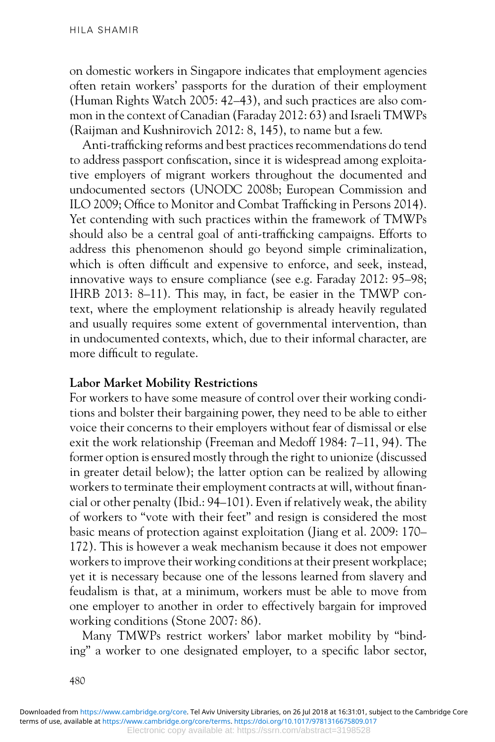on domestic workers in Singapore indicates that employment agencies often retain workers' passports for the duration of their employment (Human Rights Watch 2005: 42–43), and such practices are also common in the context of Canadian (Faraday 2012: 63) and Israeli TMWPs (Raijman and Kushnirovich 2012: 8, 145), to name but a few.

Anti-trafficking reforms and best practices recommendations do tend to address passport confiscation, since it is widespread among exploitative employers of migrant workers throughout the documented and undocumented sectors (UNODC 2008b; European Commission and ILO 2009; Office to Monitor and Combat Trafficking in Persons 2014). Yet contending with such practices within the framework of TMWPs should also be a central goal of anti-trafficking campaigns. Efforts to address this phenomenon should go beyond simple criminalization, which is often difficult and expensive to enforce, and seek, instead, innovative ways to ensure compliance (see e.g. Faraday 2012: 95–98; IHRB 2013: 8–11). This may, in fact, be easier in the TMWP context, where the employment relationship is already heavily regulated and usually requires some extent of governmental intervention, than in undocumented contexts, which, due to their informal character, are more difficult to regulate.

## **Labor Market Mobility Restrictions**

For workers to have some measure of control over their working conditions and bolster their bargaining power, they need to be able to either voice their concerns to their employers without fear of dismissal or else exit the work relationship (Freeman and Medoff 1984: 7–11, 94). The former option is ensured mostly through the right to unionize (discussed in greater detail below); the latter option can be realized by allowing workers to terminate their employment contracts at will, without financial or other penalty (Ibid.: 94–101). Even if relatively weak, the ability of workers to "vote with their feet" and resign is considered the most basic means of protection against exploitation (Jiang et al. 2009: 170– 172). This is however a weak mechanism because it does not empower workers to improve their working conditions at their present workplace; yet it is necessary because one of the lessons learned from slavery and feudalism is that, at a minimum, workers must be able to move from one employer to another in order to effectively bargain for improved working conditions (Stone 2007: 86).

Many TMWPs restrict workers' labor market mobility by "binding" a worker to one designated employer, to a specific labor sector,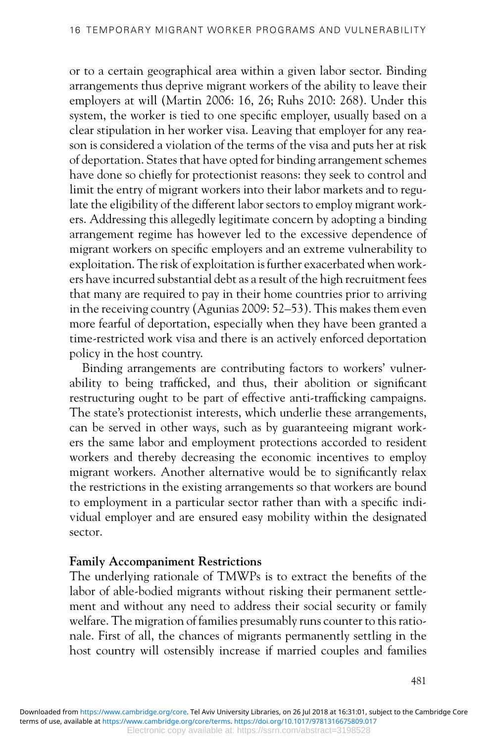or to a certain geographical area within a given labor sector. Binding arrangements thus deprive migrant workers of the ability to leave their employers at will (Martin 2006: 16, 26; Ruhs 2010: 268). Under this system, the worker is tied to one specific employer, usually based on a clear stipulation in her worker visa. Leaving that employer for any reason is considered a violation of the terms of the visa and puts her at risk of deportation. States that have opted for binding arrangement schemes have done so chiefly for protectionist reasons: they seek to control and limit the entry of migrant workers into their labor markets and to regulate the eligibility of the different labor sectors to employ migrant workers. Addressing this allegedly legitimate concern by adopting a binding arrangement regime has however led to the excessive dependence of migrant workers on specific employers and an extreme vulnerability to exploitation. The risk of exploitation is further exacerbated when workers have incurred substantial debt as a result of the high recruitment fees that many are required to pay in their home countries prior to arriving in the receiving country (Agunias 2009: 52–53). This makes them even more fearful of deportation, especially when they have been granted a time-restricted work visa and there is an actively enforced deportation policy in the host country.

Binding arrangements are contributing factors to workers' vulnerability to being trafficked, and thus, their abolition or significant restructuring ought to be part of effective anti-trafficking campaigns. The state's protectionist interests, which underlie these arrangements, can be served in other ways, such as by guaranteeing migrant workers the same labor and employment protections accorded to resident workers and thereby decreasing the economic incentives to employ migrant workers. Another alternative would be to significantly relax the restrictions in the existing arrangements so that workers are bound to employment in a particular sector rather than with a specific individual employer and are ensured easy mobility within the designated sector.

#### **Family Accompaniment Restrictions**

The underlying rationale of TMWPs is to extract the benefits of the labor of able-bodied migrants without risking their permanent settlement and without any need to address their social security or family welfare. The migration of families presumably runs counter to this rationale. First of all, the chances of migrants permanently settling in the host country will ostensibly increase if married couples and families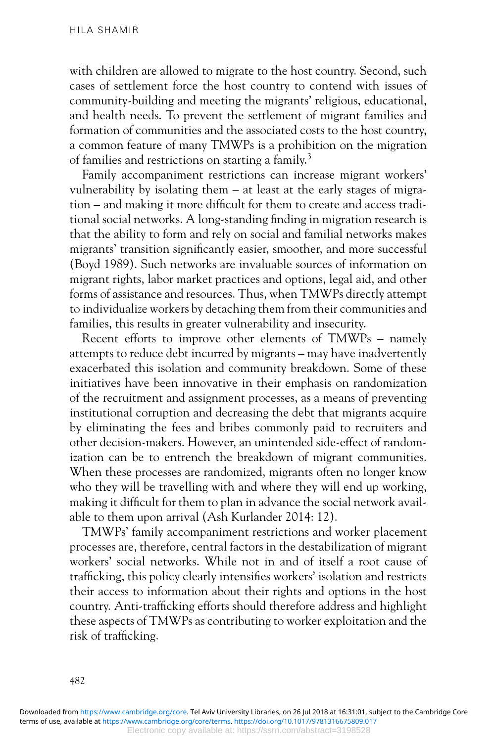with children are allowed to migrate to the host country. Second, such cases of settlement force the host country to contend with issues of community-building and meeting the migrants' religious, educational, and health needs. To prevent the settlement of migrant families and formation of communities and the associated costs to the host country, a common feature of many TMWPs is a prohibition on the migration of families and restrictions on starting a family.<sup>3</sup>

Family accompaniment restrictions can increase migrant workers' vulnerability by isolating them – at least at the early stages of migration – and making it more difficult for them to create and access traditional social networks. A long-standing finding in migration research is that the ability to form and rely on social and familial networks makes migrants' transition significantly easier, smoother, and more successful (Boyd 1989). Such networks are invaluable sources of information on migrant rights, labor market practices and options, legal aid, and other forms of assistance and resources. Thus, when TMWPs directly attempt to individualize workers by detaching them from their communities and families, this results in greater vulnerability and insecurity.

Recent efforts to improve other elements of TMWPs – namely attempts to reduce debt incurred by migrants – may have inadvertently exacerbated this isolation and community breakdown. Some of these initiatives have been innovative in their emphasis on randomization of the recruitment and assignment processes, as a means of preventing institutional corruption and decreasing the debt that migrants acquire by eliminating the fees and bribes commonly paid to recruiters and other decision-makers. However, an unintended side-effect of randomization can be to entrench the breakdown of migrant communities. When these processes are randomized, migrants often no longer know who they will be travelling with and where they will end up working, making it difficult for them to plan in advance the social network available to them upon arrival (Ash Kurlander 2014: 12).

TMWPs' family accompaniment restrictions and worker placement processes are, therefore, central factors in the destabilization of migrant workers' social networks. While not in and of itself a root cause of trafficking, this policy clearly intensifies workers' isolation and restricts their access to information about their rights and options in the host country. Anti-trafficking efforts should therefore address and highlight these aspects of TMWPs as contributing to worker exploitation and the risk of trafficking.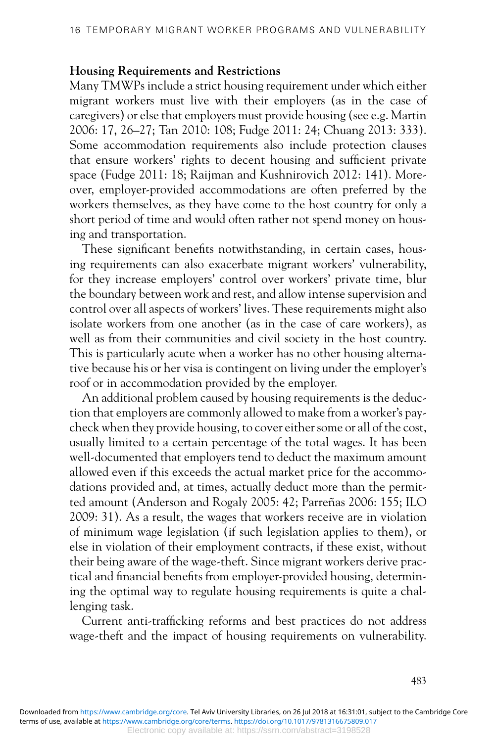## **Housing Requirements and Restrictions**

Many TMWPs include a strict housing requirement under which either migrant workers must live with their employers (as in the case of caregivers) or else that employers must provide housing (see e.g. Martin 2006: 17, 26–27; Tan 2010: 108; Fudge 2011: 24; Chuang 2013: 333). Some accommodation requirements also include protection clauses that ensure workers' rights to decent housing and sufficient private space (Fudge 2011: 18; Raijman and Kushnirovich 2012: 141). Moreover, employer-provided accommodations are often preferred by the workers themselves, as they have come to the host country for only a short period of time and would often rather not spend money on housing and transportation.

These significant benefits notwithstanding, in certain cases, housing requirements can also exacerbate migrant workers' vulnerability, for they increase employers' control over workers' private time, blur the boundary between work and rest, and allow intense supervision and control over all aspects of workers' lives. These requirements might also isolate workers from one another (as in the case of care workers), as well as from their communities and civil society in the host country. This is particularly acute when a worker has no other housing alternative because his or her visa is contingent on living under the employer's roof or in accommodation provided by the employer.

An additional problem caused by housing requirements is the deduction that employers are commonly allowed to make from a worker's paycheck when they provide housing, to cover either some or all of the cost, usually limited to a certain percentage of the total wages. It has been well-documented that employers tend to deduct the maximum amount allowed even if this exceeds the actual market price for the accommodations provided and, at times, actually deduct more than the permitted amount (Anderson and Rogaly 2005: 42; Parreñas 2006: 155; ILO 2009: 31). As a result, the wages that workers receive are in violation of minimum wage legislation (if such legislation applies to them), or else in violation of their employment contracts, if these exist, without their being aware of the wage-theft. Since migrant workers derive practical and financial benefits from employer-provided housing, determining the optimal way to regulate housing requirements is quite a challenging task.

Current anti-trafficking reforms and best practices do not address wage-theft and the impact of housing requirements on vulnerability.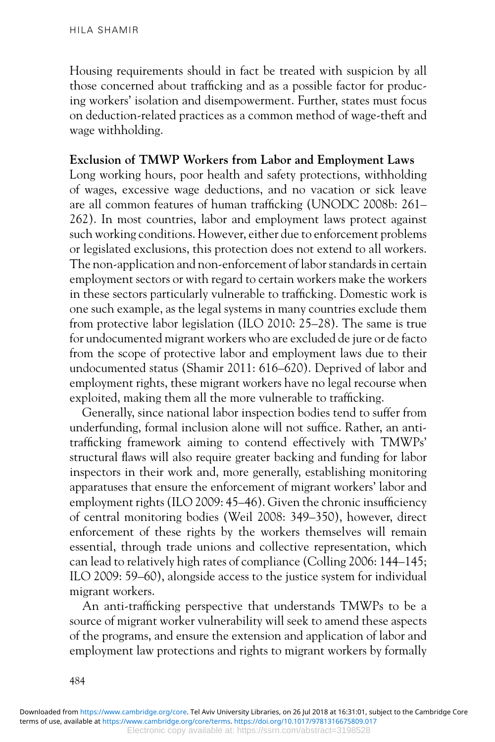Housing requirements should in fact be treated with suspicion by all those concerned about trafficking and as a possible factor for producing workers' isolation and disempowerment. Further, states must focus on deduction-related practices as a common method of wage-theft and wage withholding.

# **Exclusion of TMWP Workers from Labor and Employment Laws**

Long working hours, poor health and safety protections, withholding of wages, excessive wage deductions, and no vacation or sick leave are all common features of human trafficking (UNODC 2008b: 261– 262). In most countries, labor and employment laws protect against such working conditions. However, either due to enforcement problems or legislated exclusions, this protection does not extend to all workers. The non-application and non-enforcement of labor standards in certain employment sectors or with regard to certain workers make the workers in these sectors particularly vulnerable to trafficking. Domestic work is one such example, as the legal systems in many countries exclude them from protective labor legislation (ILO 2010: 25–28). The same is true for undocumented migrant workers who are excluded de jure or de facto from the scope of protective labor and employment laws due to their undocumented status (Shamir 2011: 616–620). Deprived of labor and employment rights, these migrant workers have no legal recourse when exploited, making them all the more vulnerable to trafficking.

Generally, since national labor inspection bodies tend to suffer from underfunding, formal inclusion alone will not suffice. Rather, an antitrafficking framework aiming to contend effectively with TMWPs' structural flaws will also require greater backing and funding for labor inspectors in their work and, more generally, establishing monitoring apparatuses that ensure the enforcement of migrant workers' labor and employment rights (ILO 2009: 45–46). Given the chronic insufficiency of central monitoring bodies (Weil 2008: 349–350), however, direct enforcement of these rights by the workers themselves will remain essential, through trade unions and collective representation, which can lead to relatively high rates of compliance (Colling 2006: 144–145; ILO 2009: 59–60), alongside access to the justice system for individual migrant workers.

An anti-trafficking perspective that understands TMWPs to be a source of migrant worker vulnerability will seek to amend these aspects of the programs, and ensure the extension and application of labor and employment law protections and rights to migrant workers by formally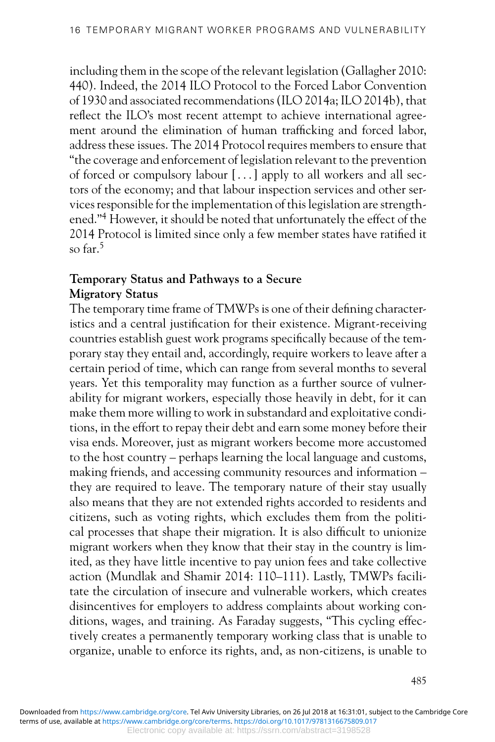including them in the scope of the relevant legislation (Gallagher 2010: 440). Indeed, the 2014 ILO Protocol to the Forced Labor Convention of 1930 and associated recommendations (ILO 2014a; ILO 2014b), that reflect the ILO's most recent attempt to achieve international agreement around the elimination of human trafficking and forced labor, address these issues. The 2014 Protocol requires members to ensure that "the coverage and enforcement of legislation relevant to the prevention of forced or compulsory labour [ ... ] apply to all workers and all sectors of the economy; and that labour inspection services and other services responsible for the implementation of this legislation are strengthened."<sup>4</sup> However, it should be noted that unfortunately the effect of the 2014 Protocol is limited since only a few member states have ratified it so far.<sup>5</sup>

## **Temporary Status and Pathways to a Secure Migratory Status**

The temporary time frame of TMWPs is one of their defining characteristics and a central justification for their existence. Migrant-receiving countries establish guest work programs specifically because of the temporary stay they entail and, accordingly, require workers to leave after a certain period of time, which can range from several months to several years. Yet this temporality may function as a further source of vulnerability for migrant workers, especially those heavily in debt, for it can make them more willing to work in substandard and exploitative conditions, in the effort to repay their debt and earn some money before their visa ends. Moreover, just as migrant workers become more accustomed to the host country – perhaps learning the local language and customs, making friends, and accessing community resources and information – they are required to leave. The temporary nature of their stay usually also means that they are not extended rights accorded to residents and citizens, such as voting rights, which excludes them from the political processes that shape their migration. It is also difficult to unionize migrant workers when they know that their stay in the country is limited, as they have little incentive to pay union fees and take collective action (Mundlak and Shamir 2014: 110–111). Lastly, TMWPs facilitate the circulation of insecure and vulnerable workers, which creates disincentives for employers to address complaints about working conditions, wages, and training. As Faraday suggests, "This cycling effectively creates a permanently temporary working class that is unable to organize, unable to enforce its rights, and, as non-citizens, is unable to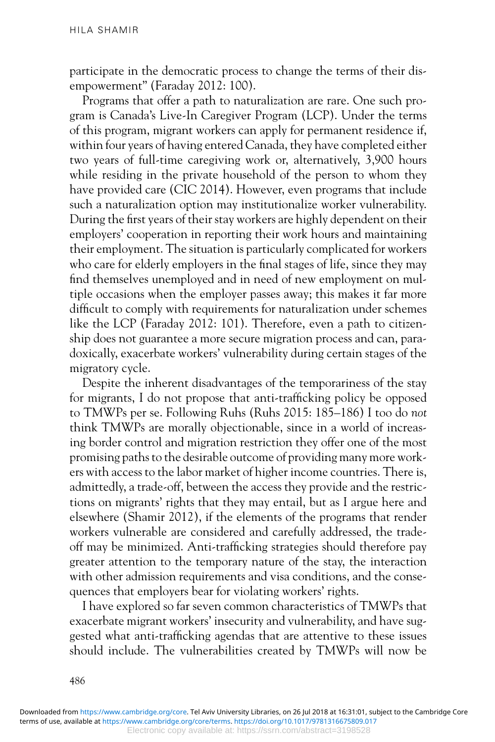participate in the democratic process to change the terms of their disempowerment" (Faraday 2012: 100).

Programs that offer a path to naturalization are rare. One such program is Canada's Live-In Caregiver Program (LCP). Under the terms of this program, migrant workers can apply for permanent residence if, within four years of having entered Canada, they have completed either two years of full-time caregiving work or, alternatively, 3,900 hours while residing in the private household of the person to whom they have provided care (CIC 2014). However, even programs that include such a naturalization option may institutionalize worker vulnerability. During the first years of their stay workers are highly dependent on their employers' cooperation in reporting their work hours and maintaining their employment. The situation is particularly complicated for workers who care for elderly employers in the final stages of life, since they may find themselves unemployed and in need of new employment on multiple occasions when the employer passes away; this makes it far more difficult to comply with requirements for naturalization under schemes like the LCP (Faraday 2012: 101). Therefore, even a path to citizenship does not guarantee a more secure migration process and can, paradoxically, exacerbate workers' vulnerability during certain stages of the migratory cycle.

Despite the inherent disadvantages of the temporariness of the stay for migrants, I do not propose that anti-trafficking policy be opposed to TMWPs per se. Following Ruhs (Ruhs 2015: 185–186) I too do *not* think TMWPs are morally objectionable, since in a world of increasing border control and migration restriction they offer one of the most promising paths to the desirable outcome of providing many more workers with access to the labor market of higher income countries. There is, admittedly, a trade-off, between the access they provide and the restrictions on migrants' rights that they may entail, but as I argue here and elsewhere (Shamir 2012), if the elements of the programs that render workers vulnerable are considered and carefully addressed, the tradeoff may be minimized. Anti-trafficking strategies should therefore pay greater attention to the temporary nature of the stay, the interaction with other admission requirements and visa conditions, and the consequences that employers bear for violating workers' rights.

I have explored so far seven common characteristics of TMWPs that exacerbate migrant workers' insecurity and vulnerability, and have suggested what anti-trafficking agendas that are attentive to these issues should include. The vulnerabilities created by TMWPs will now be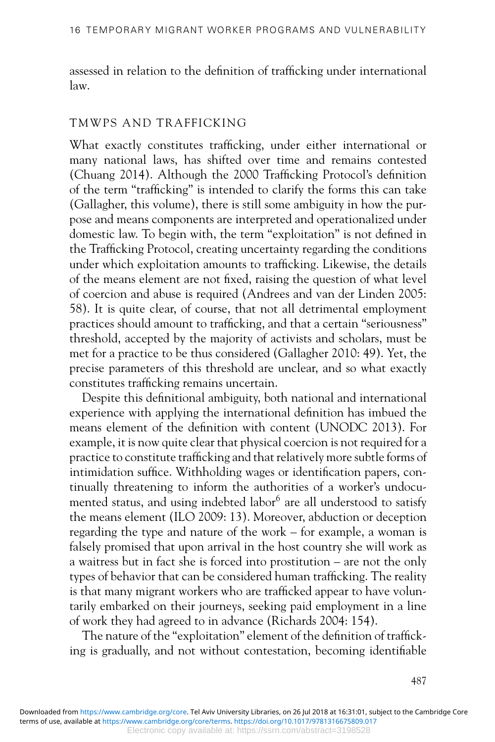assessed in relation to the definition of trafficking under international law.

#### TMWPS AND TRAFFICKING

What exactly constitutes trafficking, under either international or many national laws, has shifted over time and remains contested (Chuang 2014). Although the 2000 Trafficking Protocol's definition of the term "trafficking" is intended to clarify the forms this can take (Gallagher, this volume), there is still some ambiguity in how the purpose and means components are interpreted and operationalized under domestic law. To begin with, the term "exploitation" is not defined in the Trafficking Protocol, creating uncertainty regarding the conditions under which exploitation amounts to trafficking. Likewise, the details of the means element are not fixed, raising the question of what level of coercion and abuse is required (Andrees and van der Linden 2005: 58). It is quite clear, of course, that not all detrimental employment practices should amount to trafficking, and that a certain "seriousness" threshold, accepted by the majority of activists and scholars, must be met for a practice to be thus considered (Gallagher 2010: 49). Yet, the precise parameters of this threshold are unclear, and so what exactly constitutes trafficking remains uncertain.

Despite this definitional ambiguity, both national and international experience with applying the international definition has imbued the means element of the definition with content (UNODC 2013). For example, it is now quite clear that physical coercion is not required for a practice to constitute trafficking and that relatively more subtle forms of intimidation suffice. Withholding wages or identification papers, continually threatening to inform the authorities of a worker's undocumented status, and using indebted labor $6$  are all understood to satisfy the means element (ILO 2009: 13). Moreover, abduction or deception regarding the type and nature of the work – for example, a woman is falsely promised that upon arrival in the host country she will work as a waitress but in fact she is forced into prostitution – are not the only types of behavior that can be considered human trafficking. The reality is that many migrant workers who are trafficked appear to have voluntarily embarked on their journeys, seeking paid employment in a line of work they had agreed to in advance (Richards 2004: 154).

The nature of the "exploitation" element of the definition of trafficking is gradually, and not without contestation, becoming identifiable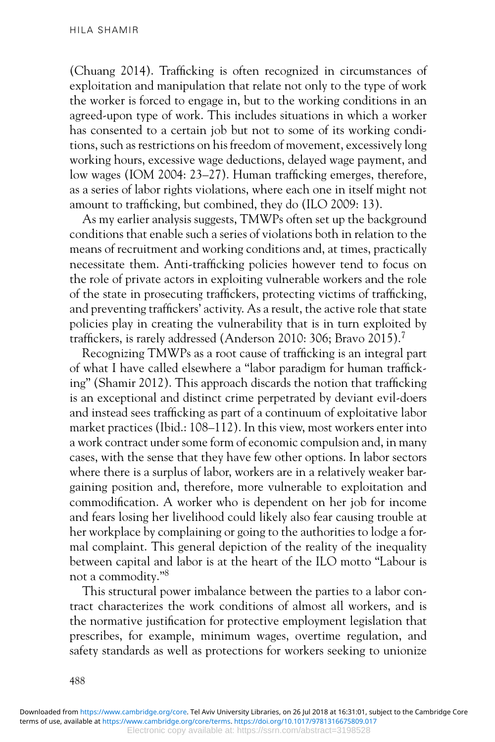(Chuang 2014). Trafficking is often recognized in circumstances of exploitation and manipulation that relate not only to the type of work the worker is forced to engage in, but to the working conditions in an agreed-upon type of work. This includes situations in which a worker has consented to a certain job but not to some of its working conditions, such as restrictions on his freedom of movement, excessively long working hours, excessive wage deductions, delayed wage payment, and low wages (IOM 2004: 23–27). Human trafficking emerges, therefore, as a series of labor rights violations, where each one in itself might not amount to trafficking, but combined, they do (ILO 2009: 13).

As my earlier analysis suggests, TMWPs often set up the background conditions that enable such a series of violations both in relation to the means of recruitment and working conditions and, at times, practically necessitate them. Anti-trafficking policies however tend to focus on the role of private actors in exploiting vulnerable workers and the role of the state in prosecuting traffickers, protecting victims of trafficking, and preventing traffickers' activity. As a result, the active role that state policies play in creating the vulnerability that is in turn exploited by traffickers, is rarely addressed (Anderson 2010: 306; Bravo 2015).<sup>7</sup>

Recognizing TMWPs as a root cause of trafficking is an integral part of what I have called elsewhere a "labor paradigm for human trafficking" (Shamir 2012). This approach discards the notion that trafficking is an exceptional and distinct crime perpetrated by deviant evil-doers and instead sees trafficking as part of a continuum of exploitative labor market practices (Ibid.: 108–112). In this view, most workers enter into a work contract under some form of economic compulsion and, in many cases, with the sense that they have few other options. In labor sectors where there is a surplus of labor, workers are in a relatively weaker bargaining position and, therefore, more vulnerable to exploitation and commodification. A worker who is dependent on her job for income and fears losing her livelihood could likely also fear causing trouble at her workplace by complaining or going to the authorities to lodge a formal complaint. This general depiction of the reality of the inequality between capital and labor is at the heart of the ILO motto "Labour is not a commodity."<sup>8</sup>

This structural power imbalance between the parties to a labor contract characterizes the work conditions of almost all workers, and is the normative justification for protective employment legislation that prescribes, for example, minimum wages, overtime regulation, and safety standards as well as protections for workers seeking to unionize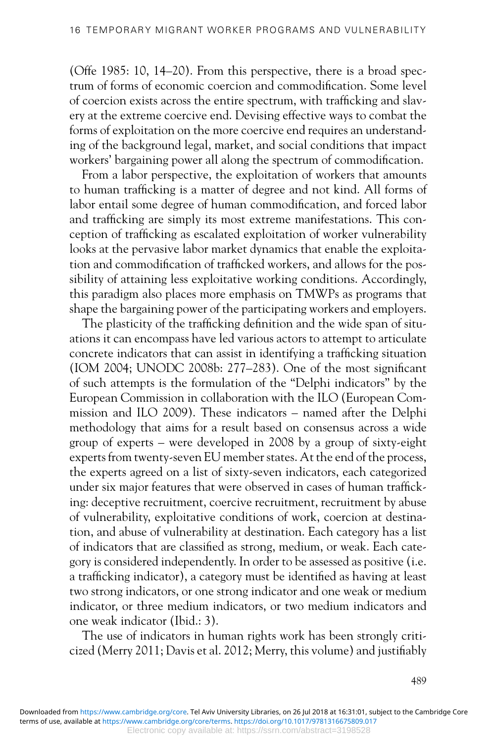(Offe 1985: 10, 14–20). From this perspective, there is a broad spectrum of forms of economic coercion and commodification. Some level of coercion exists across the entire spectrum, with trafficking and slavery at the extreme coercive end. Devising effective ways to combat the forms of exploitation on the more coercive end requires an understanding of the background legal, market, and social conditions that impact workers' bargaining power all along the spectrum of commodification.

From a labor perspective, the exploitation of workers that amounts to human trafficking is a matter of degree and not kind. All forms of labor entail some degree of human commodification, and forced labor and trafficking are simply its most extreme manifestations. This conception of trafficking as escalated exploitation of worker vulnerability looks at the pervasive labor market dynamics that enable the exploitation and commodification of trafficked workers, and allows for the possibility of attaining less exploitative working conditions. Accordingly, this paradigm also places more emphasis on TMWPs as programs that shape the bargaining power of the participating workers and employers.

The plasticity of the trafficking definition and the wide span of situations it can encompass have led various actors to attempt to articulate concrete indicators that can assist in identifying a trafficking situation (IOM 2004; UNODC 2008b: 277–283). One of the most significant of such attempts is the formulation of the "Delphi indicators" by the European Commission in collaboration with the ILO (European Commission and ILO 2009). These indicators – named after the Delphi methodology that aims for a result based on consensus across a wide group of experts – were developed in 2008 by a group of sixty-eight experts from twenty-seven EU member states. At the end of the process, the experts agreed on a list of sixty-seven indicators, each categorized under six major features that were observed in cases of human trafficking: deceptive recruitment, coercive recruitment, recruitment by abuse of vulnerability, exploitative conditions of work, coercion at destination, and abuse of vulnerability at destination. Each category has a list of indicators that are classified as strong, medium, or weak. Each category is considered independently. In order to be assessed as positive (i.e. a trafficking indicator), a category must be identified as having at least two strong indicators, or one strong indicator and one weak or medium indicator, or three medium indicators, or two medium indicators and one weak indicator (Ibid.: 3).

The use of indicators in human rights work has been strongly criticized (Merry 2011; Davis et al. 2012; Merry, this volume) and justifiably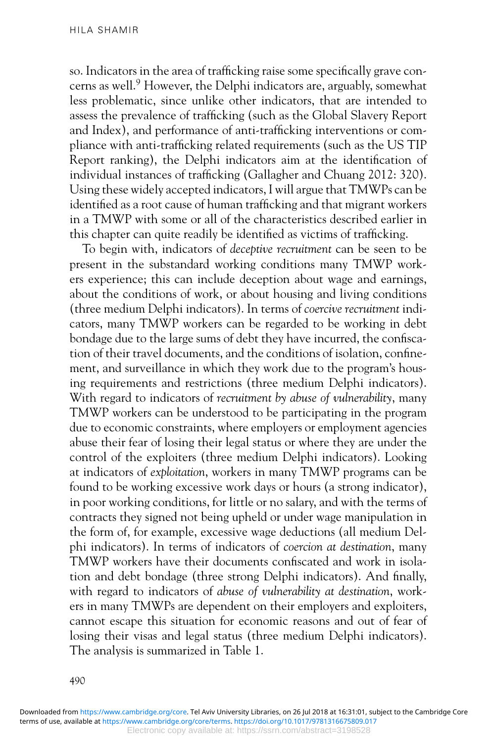so. Indicators in the area of trafficking raise some specifically grave concerns as well.9 However, the Delphi indicators are, arguably, somewhat less problematic, since unlike other indicators, that are intended to assess the prevalence of trafficking (such as the Global Slavery Report and Index), and performance of anti-trafficking interventions or compliance with anti-trafficking related requirements (such as the US TIP Report ranking), the Delphi indicators aim at the identification of individual instances of trafficking (Gallagher and Chuang 2012: 320). Using these widely accepted indicators, I will argue that TMWPs can be identified as a root cause of human trafficking and that migrant workers in a TMWP with some or all of the characteristics described earlier in this chapter can quite readily be identified as victims of trafficking.

To begin with, indicators of *deceptive recruitment* can be seen to be present in the substandard working conditions many TMWP workers experience; this can include deception about wage and earnings, about the conditions of work, or about housing and living conditions (three medium Delphi indicators). In terms of *coercive recruitment* indicators, many TMWP workers can be regarded to be working in debt bondage due to the large sums of debt they have incurred, the confiscation of their travel documents, and the conditions of isolation, confinement, and surveillance in which they work due to the program's housing requirements and restrictions (three medium Delphi indicators). With regard to indicators of *recruitment by abuse of vulnerability*, many TMWP workers can be understood to be participating in the program due to economic constraints, where employers or employment agencies abuse their fear of losing their legal status or where they are under the control of the exploiters (three medium Delphi indicators). Looking at indicators of *exploitation*, workers in many TMWP programs can be found to be working excessive work days or hours (a strong indicator), in poor working conditions, for little or no salary, and with the terms of contracts they signed not being upheld or under wage manipulation in the form of, for example, excessive wage deductions (all medium Delphi indicators). In terms of indicators of *coercion at destination*, many TMWP workers have their documents confiscated and work in isolation and debt bondage (three strong Delphi indicators). And finally, with regard to indicators of *abuse of vulnerability at destination*, workers in many TMWPs are dependent on their employers and exploiters, cannot escape this situation for economic reasons and out of fear of losing their visas and legal status (three medium Delphi indicators). The analysis is summarized in Table 1.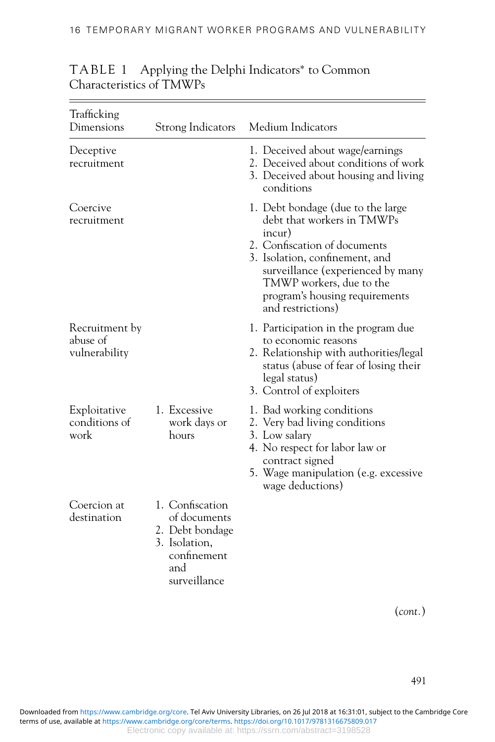| Trafficking<br>Dimensions                   | Strong Indicators                                                                                         | Medium Indicators                                                                                                                                                                                                                                                   |
|---------------------------------------------|-----------------------------------------------------------------------------------------------------------|---------------------------------------------------------------------------------------------------------------------------------------------------------------------------------------------------------------------------------------------------------------------|
| Deceptive<br>recruitment                    |                                                                                                           | 1. Deceived about wage/earnings<br>2. Deceived about conditions of work<br>3. Deceived about housing and living<br>conditions                                                                                                                                       |
| Coercive<br>recruitment                     |                                                                                                           | 1. Debt bondage (due to the large<br>debt that workers in TMWPs<br>incur)<br>2. Confiscation of documents<br>3. Isolation, confinement, and<br>surveillance (experienced by many<br>TMWP workers, due to the<br>program's housing requirements<br>and restrictions) |
| Recruitment by<br>abuse of<br>vulnerability |                                                                                                           | 1. Participation in the program due<br>to economic reasons<br>2. Relationship with authorities/legal<br>status (abuse of fear of losing their<br>legal status)<br>3. Control of exploiters                                                                          |
| Exploitative<br>conditions of<br>work       | 1. Excessive<br>work days or<br>hours                                                                     | 1. Bad working conditions<br>2. Very bad living conditions<br>3. Low salary<br>4. No respect for labor law or<br>contract signed<br>5. Wage manipulation (e.g. excessive<br>wage deductions)                                                                        |
| Coercion at<br>destination                  | 1. Confiscation<br>of documents<br>2. Debt bondage<br>3. Isolation,<br>confinement<br>and<br>surveillance |                                                                                                                                                                                                                                                                     |

# TABLE 1 Applying the Delphi Indicators\* to Common Characteristics of TMWPs

(*cont.*)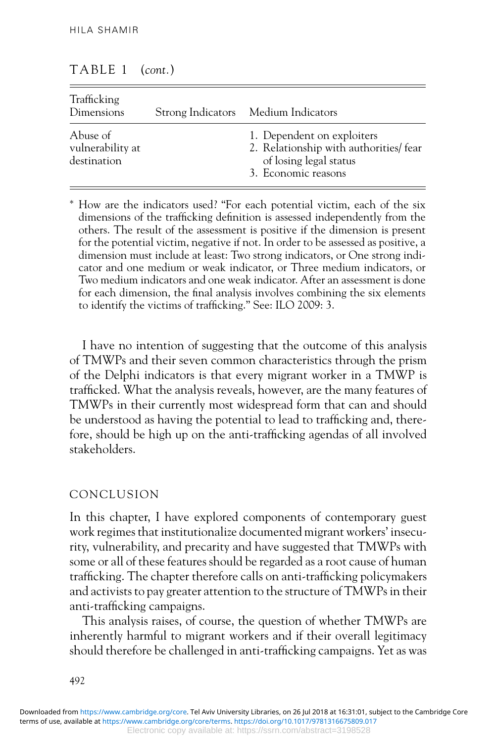| Trafficking<br>Dimensions                   | Strong Indicators Medium Indicators                                                                                   |
|---------------------------------------------|-----------------------------------------------------------------------------------------------------------------------|
| Abuse of<br>vulnerability at<br>destination | 1. Dependent on exploiters<br>2. Relationship with authorities/ fear<br>of losing legal status<br>3. Economic reasons |

TABLE 1 (*cont.*)

∗ How are the indicators used? "For each potential victim, each of the six dimensions of the trafficking definition is assessed independently from the others. The result of the assessment is positive if the dimension is present for the potential victim, negative if not. In order to be assessed as positive, a dimension must include at least: Two strong indicators, or One strong indicator and one medium or weak indicator, or Three medium indicators, or Two medium indicators and one weak indicator. After an assessment is done for each dimension, the final analysis involves combining the six elements to identify the victims of trafficking." See: ILO 2009: 3.

I have no intention of suggesting that the outcome of this analysis of TMWPs and their seven common characteristics through the prism of the Delphi indicators is that every migrant worker in a TMWP is trafficked. What the analysis reveals, however, are the many features of TMWPs in their currently most widespread form that can and should be understood as having the potential to lead to trafficking and, therefore, should be high up on the anti-trafficking agendas of all involved stakeholders.

## CONCLUSION

In this chapter, I have explored components of contemporary guest work regimes that institutionalize documented migrant workers' insecurity, vulnerability, and precarity and have suggested that TMWPs with some or all of these features should be regarded as a root cause of human trafficking. The chapter therefore calls on anti-trafficking policymakers and activists to pay greater attention to the structure of TMWPs in their anti-trafficking campaigns.

This analysis raises, of course, the question of whether TMWPs are inherently harmful to migrant workers and if their overall legitimacy should therefore be challenged in anti-trafficking campaigns. Yet as was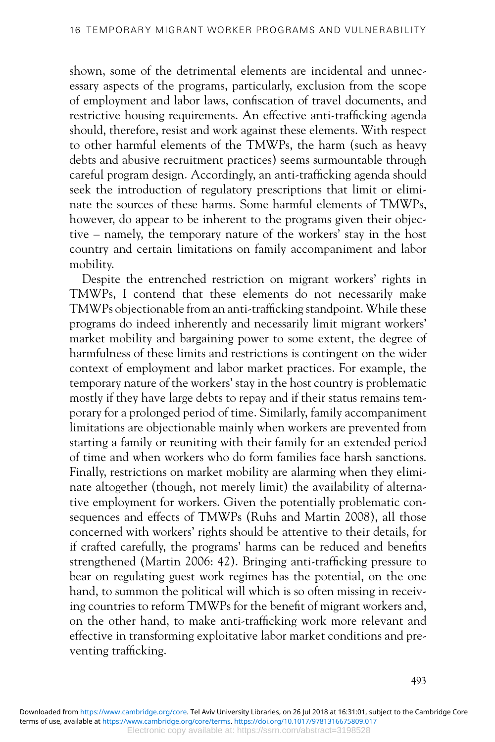shown, some of the detrimental elements are incidental and unnecessary aspects of the programs, particularly, exclusion from the scope of employment and labor laws, confiscation of travel documents, and restrictive housing requirements. An effective anti-trafficking agenda should, therefore, resist and work against these elements. With respect to other harmful elements of the TMWPs, the harm (such as heavy debts and abusive recruitment practices) seems surmountable through careful program design. Accordingly, an anti-trafficking agenda should seek the introduction of regulatory prescriptions that limit or eliminate the sources of these harms. Some harmful elements of TMWPs, however, do appear to be inherent to the programs given their objective – namely, the temporary nature of the workers' stay in the host country and certain limitations on family accompaniment and labor mobility.

Despite the entrenched restriction on migrant workers' rights in TMWPs, I contend that these elements do not necessarily make TMWPs objectionable from an anti-trafficking standpoint. While these programs do indeed inherently and necessarily limit migrant workers' market mobility and bargaining power to some extent, the degree of harmfulness of these limits and restrictions is contingent on the wider context of employment and labor market practices. For example, the temporary nature of the workers' stay in the host country is problematic mostly if they have large debts to repay and if their status remains temporary for a prolonged period of time. Similarly, family accompaniment limitations are objectionable mainly when workers are prevented from starting a family or reuniting with their family for an extended period of time and when workers who do form families face harsh sanctions. Finally, restrictions on market mobility are alarming when they eliminate altogether (though, not merely limit) the availability of alternative employment for workers. Given the potentially problematic consequences and effects of TMWPs (Ruhs and Martin 2008), all those concerned with workers' rights should be attentive to their details, for if crafted carefully, the programs' harms can be reduced and benefits strengthened (Martin 2006: 42). Bringing anti-trafficking pressure to bear on regulating guest work regimes has the potential, on the one hand, to summon the political will which is so often missing in receiving countries to reform TMWPs for the benefit of migrant workers and, on the other hand, to make anti-trafficking work more relevant and effective in transforming exploitative labor market conditions and preventing trafficking.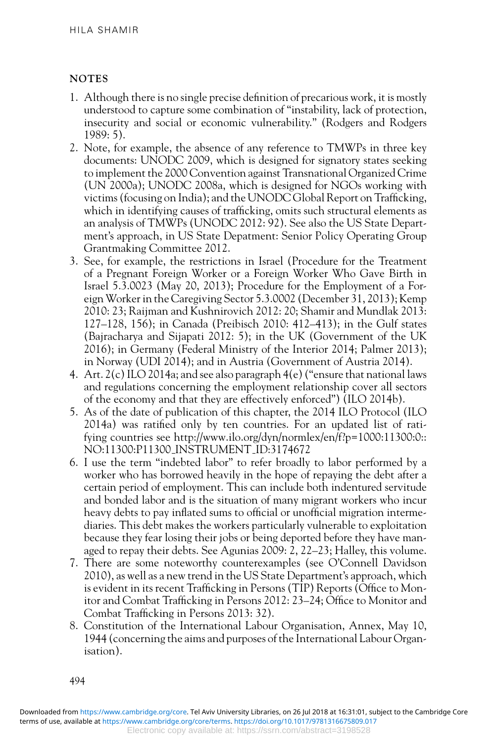#### **NOTES**

- 1. Although there is no single precise definition of precarious work, it is mostly understood to capture some combination of "instability, lack of protection, insecurity and social or economic vulnerability." (Rodgers and Rodgers 1989: 5).
- 2. Note, for example, the absence of any reference to TMWPs in three key documents: UNODC 2009, which is designed for signatory states seeking to implement the 2000 Convention against Transnational Organized Crime (UN 2000a); UNODC 2008a, which is designed for NGOs working with victims (focusing on India); and the UNODC Global Report on Trafficking, which in identifying causes of trafficking, omits such structural elements as an analysis of TMWPs (UNODC 2012: 92). See also the US State Department's approach, in US State Depatment: Senior Policy Operating Group Grantmaking Committee 2012.
- 3. See, for example, the restrictions in Israel (Procedure for the Treatment of a Pregnant Foreign Worker or a Foreign Worker Who Gave Birth in Israel 5.3.0023 (May 20, 2013); Procedure for the Employment of a Foreign Worker in the Caregiving Sector 5.3.0002 (December 31, 2013); Kemp 2010: 23; Raijman and Kushnirovich 2012: 20; Shamir and Mundlak 2013: 127–128, 156); in Canada (Preibisch 2010: 412–413); in the Gulf states (Bajracharya and Sijapati 2012: 5); in the UK (Government of the UK 2016); in Germany (Federal Ministry of the Interior 2014; Palmer 2013); in Norway (UDI 2014); and in Austria (Government of Austria 2014).
- 4. Art. 2(c) ILO 2014a; and see also paragraph 4(e) ("ensure that national laws and regulations concerning the employment relationship cover all sectors of the economy and that they are effectively enforced") (ILO 2014b).
- 5. As of the date of publication of this chapter, the 2014 ILO Protocol (ILO 2014a) was ratified only by ten countries. For an updated list of ratifying countries see http://www.ilo.org/dyn/normlex/en/f?p=1000:11300:0:: NO:11300:P11300 INSTRUMENT ID:3174672
- 6. I use the term "indebted labor" to refer broadly to labor performed by a worker who has borrowed heavily in the hope of repaying the debt after a certain period of employment. This can include both indentured servitude and bonded labor and is the situation of many migrant workers who incur heavy debts to pay inflated sums to official or unofficial migration intermediaries. This debt makes the workers particularly vulnerable to exploitation because they fear losing their jobs or being deported before they have managed to repay their debts. See Agunias 2009: 2, 22–23; Halley, this volume.
- 7. There are some noteworthy counterexamples (see O'Connell Davidson 2010), as well as a new trend in the US State Department's approach, which is evident in its recent Trafficking in Persons (TIP) Reports (Office to Monitor and Combat Trafficking in Persons 2012: 23–24; Office to Monitor and Combat Trafficking in Persons 2013: 32).
- 8. Constitution of the International Labour Organisation, Annex, May 10, 1944 (concerning the aims and purposes of the International Labour Organisation).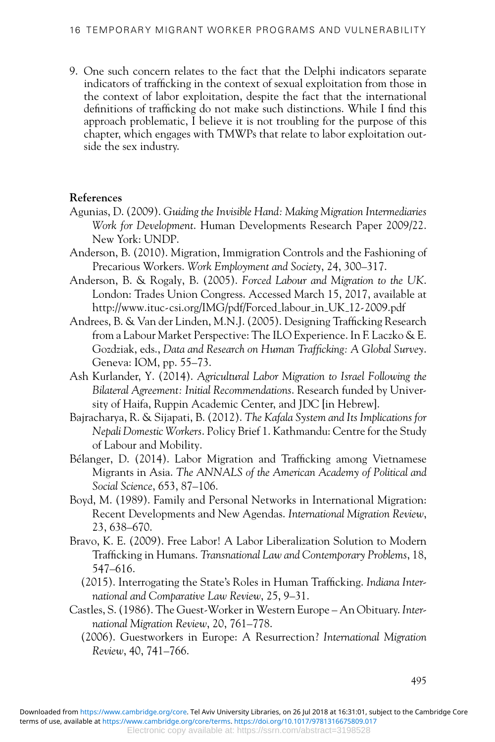9. One such concern relates to the fact that the Delphi indicators separate indicators of trafficking in the context of sexual exploitation from those in the context of labor exploitation, despite the fact that the international definitions of trafficking do not make such distinctions. While I find this approach problematic, I believe it is not troubling for the purpose of this chapter, which engages with TMWPs that relate to labor exploitation outside the sex industry.

#### **References**

- Agunias, D. (2009). *Guiding the Invisible Hand: Making Migration Intermediaries Work for Development*. Human Developments Research Paper 2009/22. New York: UNDP.
- Anderson, B. (2010). Migration, Immigration Controls and the Fashioning of Precarious Workers. *Work Employment and Society*, 24, 300–317.
- Anderson, B. & Rogaly, B. (2005). *Forced Labour and Migration to the UK*. London: Trades Union Congress. Accessed March 15, 2017, available at http://www.ituc-csi.org/IMG/pdf/Forced labour in UK 12-2009.pdf
- Andrees, B. & Van der Linden, M.N.J. (2005). Designing Trafficking Research from a Labour Market Perspective: The ILO Experience. In F. Laczko & E. Gozdziak, eds., *Data and Research on Human Trafficking: A Global Survey*. Geneva: IOM, pp. 55–73.
- Ash Kurlander, Y. (2014). *Agricultural Labor Migration to Israel Following the Bilateral Agreement: Initial Recommendations*. Research funded by University of Haifa, Ruppin Academic Center, and JDC [in Hebrew].
- Bajracharya, R. & Sijapati, B. (2012). *The Kafala System and Its Implications for Nepali Domestic Workers*. Policy Brief 1. Kathmandu: Centre for the Study of Labour and Mobility.
- Bélanger, D. (2014). Labor Migration and Trafficking among Vietnamese Migrants in Asia. *The ANNALS of the American Academy of Political and Social Science*, 653, 87–106.
- Boyd, M. (1989). Family and Personal Networks in International Migration: Recent Developments and New Agendas. *International Migration Review*, 23, 638–670.
- Bravo, K. E. (2009). Free Labor! A Labor Liberalization Solution to Modern Trafficking in Humans. *Transnational Law and Contemporary Problems*, 18, 547–616.
	- (2015). Interrogating the State's Roles in Human Trafficking. *Indiana International and Comparative Law Review*, 25, 9–31.
- Castles, S. (1986). The Guest-Worker in Western Europe An Obituary. *International Migration Review*, 20, 761–778.
	- (2006). Guestworkers in Europe: A Resurrection? *International Migration Review*, 40, 741–766.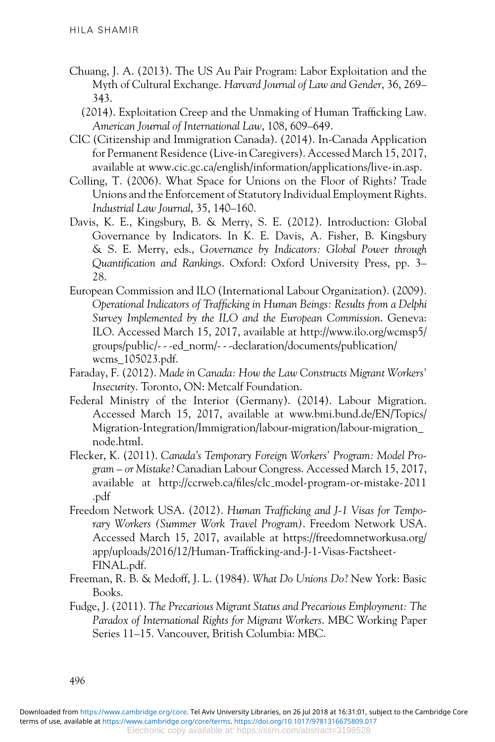- Chuang, J. A. (2013). The US Au Pair Program: Labor Exploitation and the Myth of Cultural Exchange. *Harvard Journal of Law and Gender*, 36, 269– 343.
	- (2014). Exploitation Creep and the Unmaking of Human Trafficking Law. *American Journal of International Law*, 108, 609–649.
- CIC (Citizenship and Immigration Canada). (2014). In-Canada Application for Permanent Residence (Live-in Caregivers). Accessed March 15, 2017, available at www.cic.gc.ca/english/information/applications/live-in.asp.
- Colling, T. (2006). What Space for Unions on the Floor of Rights? Trade Unions and the Enforcement of Statutory Individual Employment Rights. *Industrial Law Journal*, 35, 140–160.
- Davis, K. E., Kingsbury, B. & Merry, S. E. (2012). Introduction: Global Governance by Indicators. In K. E. Davis, A. Fisher, B. Kingsbury & S. E. Merry, eds., *Governance by Indicators: Global Power through Quantification and Rankings*. Oxford: Oxford University Press, pp. 3– 28.
- European Commission and ILO (International Labour Organization). (2009). *Operational Indicators of Trafficking in Human Beings: Results from a Delphi Survey Implemented by the ILO and the European Commission*. Geneva: ILO. Accessed March 15, 2017, available at http://www.ilo.org/wcmsp5/ groups/public/- - -ed\_norm/- - -declaration/documents/publication/ wcms\_105023.pdf.
- Faraday, F. (2012). *Made in Canada: How the Law Constructs Migrant Workers' Insecurity*. Toronto, ON: Metcalf Foundation.
- Federal Ministry of the Interior (Germany). (2014). Labour Migration. Accessed March 15, 2017, available at www.bmi.bund.de/EN/Topics/ Migration-Integration/Immigration/labour-migration/labour-migration\_ node.html.
- Flecker, K. (2011). *Canada's Temporary Foreign Workers' Program: Model Program – or Mistake*? Canadian Labour Congress. Accessed March 15, 2017, available at http://ccrweb.ca/files/clc model-program-or-mistake-2011 .pdf
- Freedom Network USA. (2012). *Human Trafficking and J-1 Visas for Temporary Workers (Summer Work Travel Program)*. Freedom Network USA. Accessed March 15, 2017, available at https://freedomnetworkusa.org/ app/uploads/2016/12/Human-Trafficking-and-J-1-Visas-Factsheet-FINAL.pdf.
- Freeman, R. B. & Medoff, J. L. (1984). *What Do Unions Do*? New York: Basic Books.
- Fudge, J. (2011). *The Precarious Migrant Status and Precarious Employment: The Paradox of International Rights for Migrant Workers*. MBC Working Paper Series 11–15. Vancouver, British Columbia: MBC.

496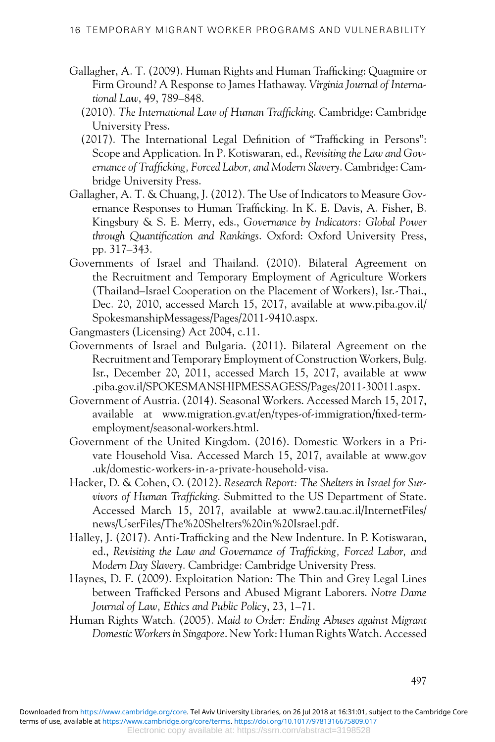- Gallagher, A. T. (2009). Human Rights and Human Trafficking: Quagmire or Firm Ground? A Response to James Hathaway. *Virginia Journal of International Law*, 49, 789–848.
	- (2010). *The International Law of Human Trafficking*. Cambridge: Cambridge University Press.
	- (2017). The International Legal Definition of "Trafficking in Persons": Scope and Application. In P. Kotiswaran, ed., *Revisiting the Law and Governance of Trafficking, Forced Labor, and Modern Slavery*. Cambridge: Cambridge University Press.
- Gallagher, A. T. & Chuang, J. (2012). The Use of Indicators to Measure Governance Responses to Human Trafficking. In K. E. Davis, A. Fisher, B. Kingsbury & S. E. Merry, eds., *Governance by Indicators: Global Power through Quantification and Rankings*. Oxford: Oxford University Press, pp. 317–343.
- Governments of Israel and Thailand. (2010). Bilateral Agreement on the Recruitment and Temporary Employment of Agriculture Workers (Thailand–Israel Cooperation on the Placement of Workers), Isr.-Thai., Dec. 20, 2010, accessed March 15, 2017, available at www.piba.gov.il/ SpokesmanshipMessagess/Pages/2011-9410.aspx.
- Gangmasters (Licensing) Act 2004, c.11.
- Governments of Israel and Bulgaria. (2011). Bilateral Agreement on the Recruitment and Temporary Employment of Construction Workers, Bulg. Isr., December 20, 2011, accessed March 15, 2017, available at www .piba.gov.il/SPOKESMANSHIPMESSAGESS/Pages/2011-30011.aspx.
- Government of Austria. (2014). Seasonal Workers. Accessed March 15, 2017, available at www.migration.gv.at/en/types-of-immigration/fixed-termemployment/seasonal-workers.html.
- Government of the United Kingdom. (2016). Domestic Workers in a Private Household Visa. Accessed March 15, 2017, available at www.gov .uk/domestic-workers-in-a-private-household-visa.
- Hacker, D. & Cohen, O. (2012). *Research Report: The Shelters in Israel for Survivors of Human Trafficking*. Submitted to the US Department of State. Accessed March 15, 2017, available at www2.tau.ac.il/InternetFiles/ news/UserFiles/The%20Shelters%20in%20Israel.pdf.
- Halley, J. (2017). Anti-Trafficking and the New Indenture. In P. Kotiswaran, ed., *Revisiting the Law and Governance of Trafficking, Forced Labor, and Modern Day Slavery*. Cambridge: Cambridge University Press.
- Haynes, D. F. (2009). Exploitation Nation: The Thin and Grey Legal Lines between Trafficked Persons and Abused Migrant Laborers. *Notre Dame Journal of Law, Ethics and Public Policy*, 23, 1–71.
- Human Rights Watch. (2005). *Maid to Order: Ending Abuses against Migrant Domestic Workers in Singapore*. New York: Human Rights Watch. Accessed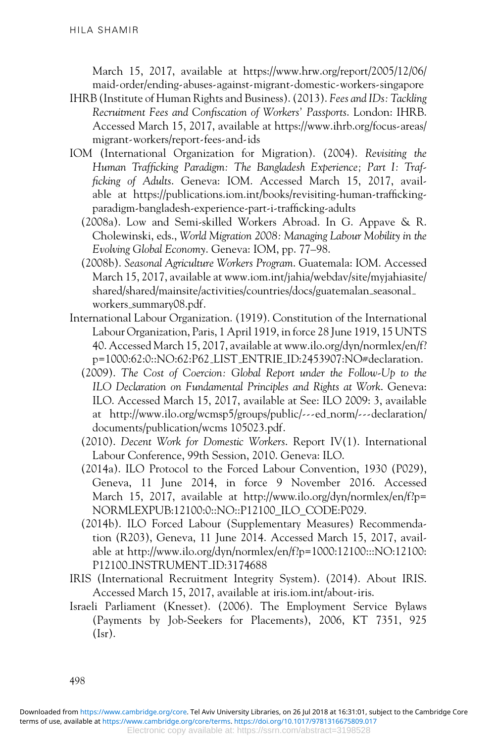March 15, 2017, available at https://www.hrw.org/report/2005/12/06/ maid-order/ending-abuses-against-migrant-domestic-workers-singapore

- IHRB (Institute of Human Rights and Business). (2013). *Fees and IDs: Tackling Recruitment Fees and Confiscation of Workers' Passports*. London: IHRB. Accessed March 15, 2017, available at https://www.ihrb.org/focus-areas/ migrant-workers/report-fees-and-ids
- IOM (International Organization for Migration). (2004). *Revisiting the Human Trafficking Paradigm: The Bangladesh Experience; Part I: Trafficking of Adults*. Geneva: IOM. Accessed March 15, 2017, available at https://publications.iom.int/books/revisiting-human-traffickingparadigm-bangladesh-experience-part-i-trafficking-adults
	- (2008a). Low and Semi-skilled Workers Abroad. In G. Appave & R. Cholewinski, eds., *World Migration 2008: Managing Labour Mobility in the Evolving Global Economy*. Geneva: IOM, pp. 77–98.
	- (2008b). *Seasonal Agriculture Workers Program*. Guatemala: IOM. Accessed March 15, 2017, available at www.iom.int/jahia/webdav/site/myjahiasite/ shared/shared/mainsite/activities/countries/docs/guatemalan seasonal workers summary08.pdf.
- International Labour Organization. (1919). Constitution of the International Labour Organization, Paris, 1 April 1919, in force 28 June 1919, 15 UNTS 40. Accessed March 15, 2017, available at www.ilo.org/dyn/normlex/en/f? p=1000:62:0::NO:62:P62 LIST ENTRIE ID:2453907:NO#declaration.
	- (2009). *The Cost of Coercion: Global Report under the Follow-Up to the ILO Declaration on Fundamental Principles and Rights at Work*. Geneva: ILO. Accessed March 15, 2017, available at See: ILO 2009: 3, available at http://www.ilo.org/wcmsp5/groups/public/---ed norm/---declaration/ documents/publication/wcms 105023.pdf.
	- (2010). *Decent Work for Domestic Workers*. Report IV(1). International Labour Conference, 99th Session, 2010. Geneva: ILO.
	- (2014a). ILO Protocol to the Forced Labour Convention, 1930 (P029), Geneva, 11 June 2014, in force 9 November 2016. Accessed March 15, 2017, available at http://www.ilo.org/dyn/normlex/en/f?p= NORMLEXPUB:12100:0::NO::P12100\_ILO\_CODE:P029.
	- (2014b). ILO Forced Labour (Supplementary Measures) Recommendation (R203), Geneva, 11 June 2014. Accessed March 15, 2017, available at http://www.ilo.org/dyn/normlex/en/f?p=1000:12100:::NO:12100: P12100\_INSTRUMENT\_ID:3174688
- IRIS (International Recruitment Integrity System). (2014). About IRIS. Accessed March 15, 2017, available at iris.iom.int/about-iris.
- Israeli Parliament (Knesset). (2006). The Employment Service Bylaws (Payments by Job-Seekers for Placements), 2006, KT 7351, 925  $(Isr).$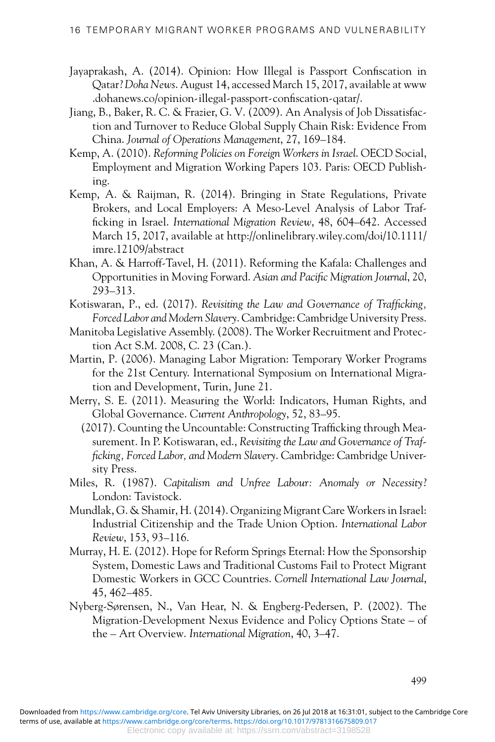- Jayaprakash, A. (2014). Opinion: How Illegal is Passport Confiscation in Qatar? *Doha News*. August 14, accessed March 15, 2017, available at www .dohanews.co/opinion-illegal-passport-confiscation-qatar/.
- Jiang, B., Baker, R. C. & Frazier, G. V. (2009). An Analysis of Job Dissatisfaction and Turnover to Reduce Global Supply Chain Risk: Evidence From China. *Journal of Operations Management*, 27, 169–184.
- Kemp, A. (2010). *Reforming Policies on Foreign Workers in Israel*. OECD Social, Employment and Migration Working Papers 103. Paris: OECD Publishing.
- Kemp, A. & Raijman, R. (2014). Bringing in State Regulations, Private Brokers, and Local Employers: A Meso-Level Analysis of Labor Trafficking in Israel. *International Migration Review*, 48, 604–642. Accessed March 15, 2017, available at http://onlinelibrary.wiley.com/doi/10.1111/ imre.12109/abstract
- Khan, A. & Harroff-Tavel, H. (2011). Reforming the Kafala: Challenges and Opportunities in Moving Forward. *Asian and Pacific Migration Journal*, 20, 293–313.
- Kotiswaran, P., ed. (2017). *Revisiting the Law and Governance of Trafficking, Forced Labor and Modern Slavery*. Cambridge: Cambridge University Press.
- Manitoba Legislative Assembly. (2008). The Worker Recruitment and Protection Act S.M. 2008, C. 23 (Can.).
- Martin, P. (2006). Managing Labor Migration: Temporary Worker Programs for the 21st Century. International Symposium on International Migration and Development, Turin, June 21.
- Merry, S. E. (2011). Measuring the World: Indicators, Human Rights, and Global Governance. *Current Anthropology*, 52, 83–95.
	- (2017). Counting the Uncountable: Constructing Trafficking through Measurement. In P. Kotiswaran, ed., *Revisiting the Law and Governance of Trafficking, Forced Labor, and Modern Slavery*. Cambridge: Cambridge University Press.
- Miles, R. (1987). *Capitalism and Unfree Labour: Anomaly or Necessity*? London: Tavistock.
- Mundlak, G. & Shamir, H. (2014). Organizing Migrant Care Workers in Israel: Industrial Citizenship and the Trade Union Option. *International Labor Review*, 153, 93–116.
- Murray, H. E. (2012). Hope for Reform Springs Eternal: How the Sponsorship System, Domestic Laws and Traditional Customs Fail to Protect Migrant Domestic Workers in GCC Countries. *Cornell International Law Journal*, 45, 462–485.
- Nyberg-Sørensen, N., Van Hear, N. & Engberg-Pedersen, P. (2002). The Migration-Development Nexus Evidence and Policy Options State – of the – Art Overview. *International Migration*, 40, 3–47.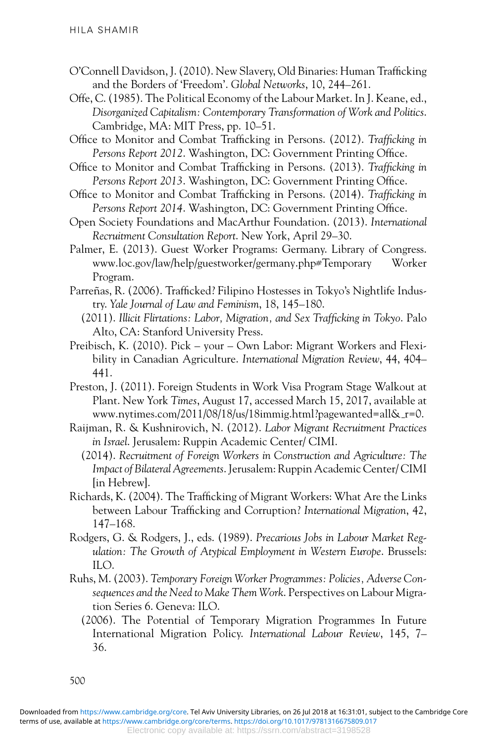- O'Connell Davidson, J. (2010). New Slavery, Old Binaries: Human Trafficking and the Borders of 'Freedom'. *Global Networks*, 10, 244–261.
- Offe, C. (1985). The Political Economy of the Labour Market. In J. Keane, ed., *Disorganized Capitalism: Contemporary Transformation of Work and Politics*. Cambridge, MA: MIT Press, pp. 10–51.
- Office to Monitor and Combat Trafficking in Persons. (2012). *Trafficking in Persons Report 2012*. Washington, DC: Government Printing Office.
- Office to Monitor and Combat Trafficking in Persons. (2013). *Trafficking in Persons Report 2013*. Washington, DC: Government Printing Office.
- Office to Monitor and Combat Trafficking in Persons. (2014). *Trafficking in Persons Report 2014*. Washington, DC: Government Printing Office.
- Open Society Foundations and MacArthur Foundation. (2013). *International Recruitment Consultation Report*. New York, April 29–30.
- Palmer, E. (2013). Guest Worker Programs: Germany. Library of Congress. www.loc.gov/law/help/guestworker/germany.php#Temporary Worker Program.
- Parreñas, R. (2006). Trafficked? Filipino Hostesses in Tokyo's Nightlife Industry. *Yale Journal of Law and Feminism*, 18, 145–180.
	- (2011). *Illicit Flirtations: Labor, Migration, and Sex Trafficking in Tokyo*. Palo Alto, CA: Stanford University Press.
- Preibisch, K. (2010). Pick your Own Labor: Migrant Workers and Flexibility in Canadian Agriculture. *International Migration Review*, 44, 404– 441.
- Preston, J. (2011). Foreign Students in Work Visa Program Stage Walkout at Plant. New York *Times*, August 17, accessed March 15, 2017, available at www.nytimes.com/2011/08/18/us/18immig.html?pagewanted=all&\_r=0.
- Raijman, R. & Kushnirovich, N. (2012). *Labor Migrant Recruitment Practices in Israel*. Jerusalem: Ruppin Academic Center/ CIMI.
	- (2014). *Recruitment of Foreign Workers in Construction and Agriculture: The Impact of Bilateral Agreements*. Jerusalem: Ruppin Academic Center/ CIMI [in Hebrew].
- Richards, K. (2004). The Trafficking of Migrant Workers: What Are the Links between Labour Trafficking and Corruption? *International Migration*, 42, 147–168.
- Rodgers, G. & Rodgers, J., eds. (1989). *Precarious Jobs in Labour Market Regulation: The Growth of Atypical Employment in Western Europe*. Brussels: ILO.
- Ruhs, M. (2003). *Temporary Foreign Worker Programmes: Policies, Adverse Consequences and the Need to Make Them Work*. Perspectives on Labour Migration Series 6. Geneva: ILO.
	- (2006). The Potential of Temporary Migration Programmes In Future International Migration Policy. *International Labour Review*, 145, 7– 36.

500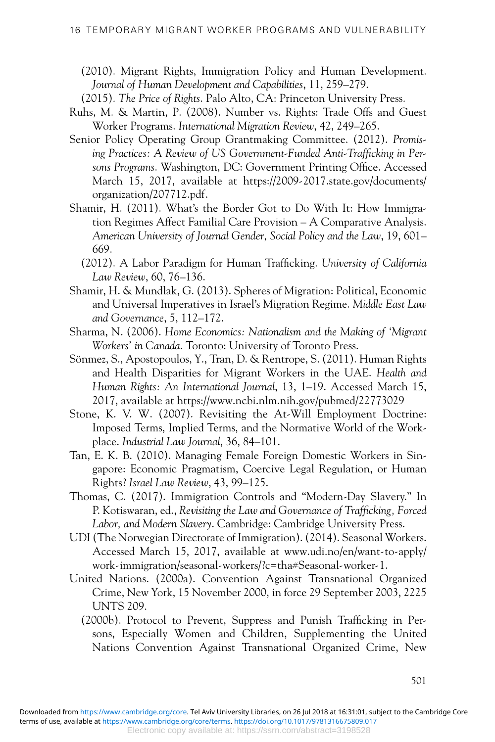(2010). Migrant Rights, Immigration Policy and Human Development. *Journal of Human Development and Capabilities*, 11, 259–279.

- (2015). *The Price of Rights*. Palo Alto, CA: Princeton University Press.
- Ruhs, M. & Martin, P. (2008). Number vs. Rights: Trade Offs and Guest Worker Programs. *International Migration Review*, 42, 249–265.
- Senior Policy Operating Group Grantmaking Committee. (2012). *Promising Practices: A Review of US Government-Funded Anti-Trafficking in Persons Programs*. Washington, DC: Government Printing Office. Accessed March 15, 2017, available at https://2009-2017.state.gov/documents/ organization/207712.pdf.
- Shamir, H. (2011). What's the Border Got to Do With It: How Immigration Regimes Affect Familial Care Provision – A Comparative Analysis. *American University of Journal Gender, Social Policy and the Law*, 19, 601– 669.
	- (2012). A Labor Paradigm for Human Trafficking. *University of California Law Review*, 60, 76–136.
- Shamir, H. & Mundlak, G. (2013). Spheres of Migration: Political, Economic and Universal Imperatives in Israel's Migration Regime. *Middle East Law and Governance*, 5, 112–172.
- Sharma, N. (2006). *Home Economics: Nationalism and the Making of 'Migrant Workers' in Canada*. Toronto: University of Toronto Press.
- Sönmez, S., Apostopoulos, Y., Tran, D. & Rentrope, S. (2011). Human Rights and Health Disparities for Migrant Workers in the UAE. *Health and Human Rights: An International Journal*, 13, 1–19. Accessed March 15, 2017, available at https://www.ncbi.nlm.nih.gov/pubmed/22773029
- Stone, K. V. W. (2007). Revisiting the At-Will Employment Doctrine: Imposed Terms, Implied Terms, and the Normative World of the Workplace. *Industrial Law Journal*, 36, 84–101.
- Tan, E. K. B. (2010). Managing Female Foreign Domestic Workers in Singapore: Economic Pragmatism, Coercive Legal Regulation, or Human Rights? *Israel Law Review*, 43, 99–125.
- Thomas, C. (2017). Immigration Controls and "Modern-Day Slavery." In P. Kotiswaran, ed., *Revisiting the Law and Governance of Trafficking, Forced Labor, and Modern Slavery*. Cambridge: Cambridge University Press.
- UDI (The Norwegian Directorate of Immigration). (2014). Seasonal Workers. Accessed March 15, 2017, available at www.udi.no/en/want-to-apply/ work-immigration/seasonal-workers/?c=tha#Seasonal-worker-1.
- United Nations. (2000a). Convention Against Transnational Organized Crime, New York, 15 November 2000, in force 29 September 2003, 2225 UNTS 209.
	- (2000b). Protocol to Prevent, Suppress and Punish Trafficking in Persons, Especially Women and Children, Supplementing the United Nations Convention Against Transnational Organized Crime, New